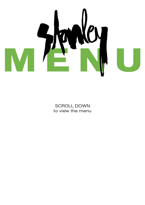

SCROLL DOWN to view the menu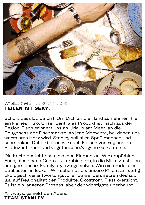

### **WELCOME TO STANLEY! TEILEN IST SEXY.**

Schön, dass Du da bist. Um Dich an die Hand zu nehmen, hier ein kleines Intro. Unser zentrales Produkt ist Fisch aus der Region. Fisch erinnert uns an Urlaub am Meer, an die Roughness der Fischmärkte, an jene Momente, bei denen uns warm ums Herz wird. Stanley soll allen Spaß machen und schmecken. Daher bieten wir auch Fleisch von regionalen Produzent:innen und vegetarische/vegane Gerichte an.

Die Karte besteht aus einzelnen Elementen. Wir empfehlen Euch, diese nach Gusto zu kombinieren, in die Mitte zu stellen und gemeinsamFamily stylezu genießen. Wie ein modularer Baukasten, in lecker. Wir sehen es als unsere Pflicht an, stetig ökologisch verantwortungsvoller zu werden, setzen deshalb u.a. auf Regionalität der Produkte, Ökostrom, Plastikverzicht. Es ist ein längerer Prozess, aber der wichtigste überhaupt.

Anyways, genießt den Abend! **TEAM STANLEY**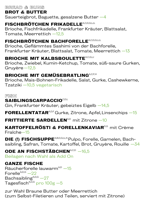## **BREAD & BUNS**

## **BROT & BUTTER**

Sauerteigbrot, Baguette, gesalzene Butter —4

# FISCHBRÖTCHEN FRIKADELLE<sup>A,C,D,G,I,J,L</sup>

Brioche, Fischfrikadelle, Frankfurter Kräuter, Blattsalat, Tomate, Meerrettich —12,5

# **FISCHBRÖTCHEN BACHFORELLE**A,C,D,G,I,J,L

Brioche, Geflämmtes Sashimi von der Bachforelle, Frankfurter Kräuter, Blattsalat, Tomate, Meerrettich —13

# **BRIOCHE MIT KALBSBOULETTEA,C,G,I,J**

Brioche, Zwiebel, Kumin-Ketchup, Tomate, süß-saure Gurken, Gruyère—12,5

# **BRIOCHE MIT GEMÜSEBRATLING**A,C,F,H

Brioche, Mais-Bohnen-Frikadelle, Salat, Gurke, Cashewkerne, Tzatziki —10,5 vegetarisch

#### **FISH**

## SAIBLINGSCARPACCIO<sup>C,D,L</sup>

Gin, Frankfurter Kräuter, gebeiztes Eigelb —14,5

**FORELLENTATAR**<sup>A,D,F</sup> Gurke, Zitrone, Apfel, Linsenchips  $-15$ 

# **FRITTIERTE SARDELLEN<sup>A,D</sup> mit Zitrone —10**

### **KARTOFFELRÖSTI & FORELLENKAVIARD,G mit Crème** Fraîche—15

**DIE (!) FISCHSUPPE**<sup>A,B,D,G,I,L,N</sup> Pulpo, Forelle, Garnelen, Bachsaibling, Safran, Tomate, Kartoffel, Brot, Gruyère, Rouille -34

**ODE AN FISCHSTÄBCHENA,C,D** -16,5 Beilagen nach Wahl als Add On

# **GANZE FISCHE**

Räucherforelle lauwarm<sup>A,D</sup> -15 Forelle $A$ ,D,G  $-22$ Bachsaibling $A$ ,D,G  $-27$ Tagesfisch $A$ ,D,G pro 100g  $-5$ 

zur Wahl Braune Butter oder Meerrettich (zum Selbst-Filetieren und Teilen, serviert mit Zitrone)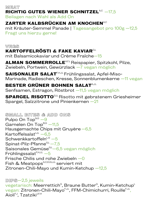**MEAT RICHTIG GUTES WIENER SCHNITZELA,C -17.5** 

Beilagen nach Wahl als Add On

# **ZARTER KALBSRÜCKEN AM KNOCHENAG**

mit Kräuter-Semmel Panade | Tagesangebot pro 100g —12,5 Fragt uns hierzu gerne!

# **VEGS KARTOFFELRÖSTI & FAKE KAVIAR**G,L

mit Balsamicokaviar und Crème Fraîche—15

ALMAN SOMMERROLLE<sup>A,F,L</sup> Reispapier, Spitzkohl, Pilze, Zwiebeln, Portwein, Gewürzlack —7 vegan möglich

### **SAISONALER SALAT**F,H,J,L Frühlingssalat, Apfel-Miso-

Marinade, Radieschen, Kresse, Sonnenblumenkerne —11 vegan

# **BESTER GRÜNER BOHNEN SALATA,J,L**

Senfsamen, Estragon, Röstbrot —11,5 vegan möglich

**SPARGEL RISOTTO**G,I,L Risotto mit gebratenem Griesheimer Spargel, Salzzitrone und Pinienkernen —21

**SMALL BITES & ADD ONS** Pulpo On  $Top<sup>N,G</sup> - 9$ Garnelen On  $Top<sup>B,G</sup> -11,5$ Hausgemachte Chips mit Gruyère—6,5 Kartoffelsalat $4,3,1$  –6,5 Schwenkkartoffeln $L, G$  –5 Spinat-Pilz-Pfanne $G,L$ –7,5 Saisonales Gemüse<sup>G,L</sup>–6,5 vegan möglich Frühlingssalat $F,H,J,L$  –5 Frische Chilis und rohe Zwiebeln —0 Fish & Meatpops<sup>A,C,D,G,I,J,L</sup> serviert mit Zitronen-Chili-Mayo und Kumin-Ketchup —12,5

# **DIPS**—2,5 jeweils

vegetarisch: Meerrettich<sup>g</sup>, Braune Butter<sup>g</sup>, Kumin-Ketchup<sup>L</sup> vegan: Zitronen-Chili-Mayo<sup>r, J.L</sup>, FFM-Chimichurri, Rouille<sup>r, J.L</sup>, Aioli<sup>F,J</sup>, Tzatziki<sup>J,F,H</sup>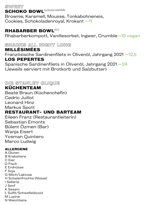**SWEET SCHOKO BOWLA,C,E,G,H, KOFFEIN** Brownie, Karamell, Mousse, Tonkabohneneis, Cookies, Schokoladenroyal, Krokant —11

#### **RHABARBER BOWL**A,F,L

Rhabarberkompott, Vanillesorbet, Ingwer, Crumble-10 vegan

**SNACKS ALL NIGHT LONG** 

**MILLÉSIMÉES** 

Französische Sardinenfilets in Olivenöl, Jahrgang 2021 — 12,5 **LOS PEPERTES** 

Spanische Sardinenfilets in Olivenöl, Jahrgang 2021 — 24 (Jeweils serviert mit Brotkorb und Salzbutter)

**DIE STANLEY CLIQUE KÜCHENTEAM**  Beate Braun (Küchenchefin) Cedric Juillot

Leonard Hinz Markus Spott

# **RESTAURANT- UND BARTEAM**

Eileen Franz (Restaurantleiterin) Sebastian Emonts Bülent Özmen (Bar) Wanja Eisert Yosman Quintero Marco Ludwig

#### **ALLERGENE**

A Gluten B Krebstiere C Eier D Fisch E Erdnüsse F Soja G Milch/Laktose H Schalenfrüchte (Nüsse) I Sellerie J Senf K Sesam L Sulfit/Schwefeldioxid M Lupine N Weichtiere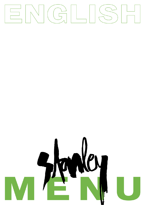

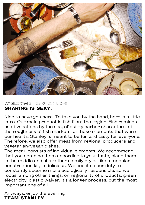

### **WELCOME TO STANLEY! SHARING IS SEXY.**

Nice to have you here. To take you by the hand, here is a little intro. Our main product is fish from the region. Fish reminds us of vacations by the sea, of quirky harbor characters, of the roughness of fish markets, of those moments that warm our hearts. Stanley is meant to be fun and tasty for everyone. Therefore, we also offer meat from regional producers and vegetarian/vegan dishes.

The menu consists of individual elements. We recommend that you combine them according to your taste, place them in the middle and share them family style. Like a modular construction kit, in delicious. We see it as our duty to constantly become more ecologically responsible, so we focus, among other things, on regionality of products, green electricity, plastic waiver. It's a longer process, but the most important one of all.

Anyways, enjoy the evening! **TEAM STANLEY**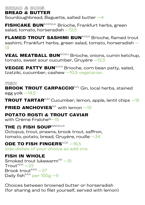**BREAD & BUNS** 

### **BREAD & BUTTER**

Sourdoughbread, Baguette, salted butter —4

**FISHCAKE BUN**A,C,D,G,I,J,L Brioche, Frankfurt herbs, green salad, tomato, horseradish —12,5

FLAMED TROUT SASHIMI BUN<sup>A,C,D,G</sup> Brioche, flamed trout sashimi, Frankfurt herbs, green salad, tomato, horseradish — 13

**VEAL MEATBALL BUNA,C,G,I,J Brioche, onions, cumin ketchup,** tomato, sweet sour cucumber, Gruyère —12,5

**VEGGIE PATTY BUNA,C,F,H Brioche, corn bean patty, salad,** tzatziki, cucumber, cashew —10,5 vegetarian

#### **FISH**

**BROOK TROUT CARPACCIO**<sup>D,C,L</sup> Gin, local herbs, stained egg yolk —14,5

**TROUT TARTAR**<sup>D,A,F</sup> Cucumber, lemon, apple, lentil chips  $-15$ 

**FRIED ANCHOVIES**<sup> $A, D$ </sup> with lemon  $-10$ 

# **POTATO ROSTI & TROUT CAVIAR**

with Crème Fraîche<sup>G</sup>-15

#### **THE (!) FISH SOUP**A,B,D,G,I,L,N

Octopus, trout, prawns, brook trout, saffron, tomato, potato, bread, Gruyère, rouille  $-34$ 

### **ODE TO FISH FINGERS**<sup>A,C,D</sup> -16,5

side dishes of your choice as add ons

### **FISH IN WHOLE**

Smoked trout lukewarm $A, D$  -15  $T$ rout $A$ <sup>A,D,G</sup>  $-22$ Brook trout $A$ , D, G  $-27$ Daily fish $A$ , D, G, P are 100g  $-5$ 

Choices between browned butter or horseradish (for sharing and to filet yourself, served with lemon)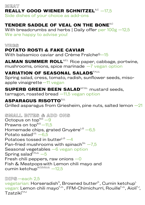# **MEAT REALLY GOOD WIENER SCHNITZELA,C —17,5**

Side dishes of your choice as add-ons

# **TENDER SADDLE OF VEAL ON THE BONEAC**

With breadcrumbs and herbs | Daily offer per 100g -12,5 We are happy to advise you!

**VEGS**

# **POTATO ROSTI & FAKE CAVIAR**

With balsamico caviar and Crème Fraîche<sup>G-15</sup>

ALMAN SUMMER ROLL<sup>A,F,L</sup> Rice paper, cabbage, portwine, mushrooms, onions, spice marinade —7 vegan option

## **VARIATION OF SEASONAL SALADSF,H,J,L**

Spring salad, cress, tomato, radish, sunflower seeds, misoapple vinaigrette—11 vegan

## **SUPERB GREEN BEEN SALADA,F,G,L mustard seeds,**

tarragon, roasted bread —11,5 vegan option

# **ASPARAGUS RISOTTO**G,I,L

Grilled asparagus from Griesheim, pine nuts, salted lemon  $-21$ 

**SMALL BITES & ADD ONS** Octopus on top $N, G -9$ Prawns on  $top<sup>B,G</sup> - 11,5$ Homemade chips, grated Gruyère $L^G$  -6,5 Potato salad $4,4$  –6,5 Potatoes tossed in butter $L, G$   $-4$ Pan-fried mushrooms with spinach $\mathrm{^{G.L}}$   $-7,5$ Seasonal vegetables —6 vegan option Spring salad $F,H,J,L$  -5 Fresh chili peppers, raw onions  $-0$ Fish & Meatpops with Lemon chili mayo and cumin ketchup $A, C, D, G, I, J, L$  –12,5

#### **DIPS**—each 2,5

vegetarian: Horseradish $^{\circ}$ , Browned butter $^{\circ}$ , Cumin ketchup $^{\mathsf{L}}$ vegan: Lemon chili mayo<sup>r, J,L</sup>, FFM-Chimichurri, Rouille<sup>r, J,L</sup>, Aioli<sup>r, J</sup>, Tzatziki<sup>F,H,J</sup>